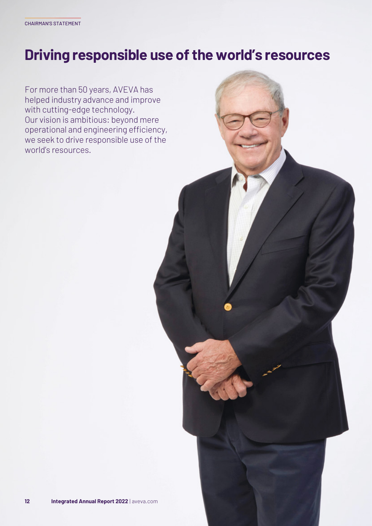# **Driving responsible use of the world's resources**

For more than 50 years, AVEVA has helped industry advance and improve with cutting-edge technology. Our vision is ambitious: beyond mere operational and engineering efficiency, we seek to drive responsible use of the world's resources.